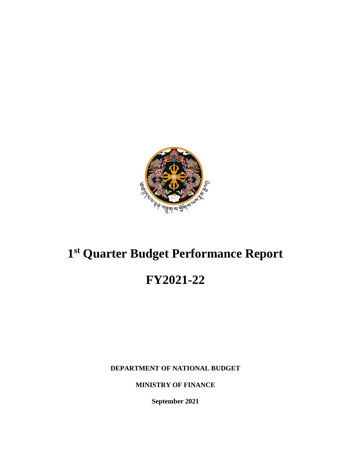

## **1 st Quarter Budget Performance Report**

# **FY2021-22**

**DEPARTMENT OF NATIONAL BUDGET**

**MINISTRY OF FINANCE**

**September 2021**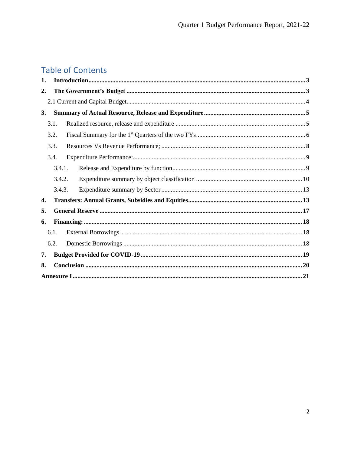## **Table of Contents**

| 1.        |      |        |  |  |  |  |  |
|-----------|------|--------|--|--|--|--|--|
| 2.        |      |        |  |  |  |  |  |
|           |      |        |  |  |  |  |  |
| <b>3.</b> |      |        |  |  |  |  |  |
|           | 3.1. |        |  |  |  |  |  |
|           | 3.2. |        |  |  |  |  |  |
|           | 3.3. |        |  |  |  |  |  |
|           | 3.4. |        |  |  |  |  |  |
|           |      | 3.4.1. |  |  |  |  |  |
|           |      | 3.4.2. |  |  |  |  |  |
|           |      | 3.4.3. |  |  |  |  |  |
| 4.        |      |        |  |  |  |  |  |
| 5.        |      |        |  |  |  |  |  |
| 6.        |      |        |  |  |  |  |  |
|           | 6.1. |        |  |  |  |  |  |
|           | 6.2. |        |  |  |  |  |  |
| 7.        |      |        |  |  |  |  |  |
| 8.        |      |        |  |  |  |  |  |
|           |      |        |  |  |  |  |  |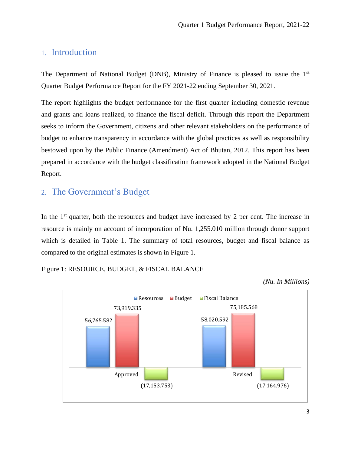### <span id="page-2-0"></span>1. Introduction

The Department of National Budget (DNB), Ministry of Finance is pleased to issue the 1<sup>st</sup> Quarter Budget Performance Report for the FY 2021-22 ending September 30, 2021.

The report highlights the budget performance for the first quarter including domestic revenue and grants and loans realized, to finance the fiscal deficit. Through this report the Department seeks to inform the Government, citizens and other relevant stakeholders on the performance of budget to enhance transparency in accordance with the global practices as well as responsibility bestowed upon by the Public Finance (Amendment) Act of Bhutan, 2012. This report has been prepared in accordance with the budget classification framework adopted in the National Budget Report.

## <span id="page-2-1"></span>2. The Government's Budget

In the  $1<sup>st</sup>$  quarter, both the resources and budget have increased by 2 per cent. The increase in resource is mainly on account of incorporation of Nu. 1,255.010 million through donor support which is detailed in Table 1. The summary of total resources, budget and fiscal balance as compared to the original estimates is shown in Figure 1.

#### Figure 1: RESOURCE, BUDGET, & FISCAL BALANCE



*(Nu. In Millions)*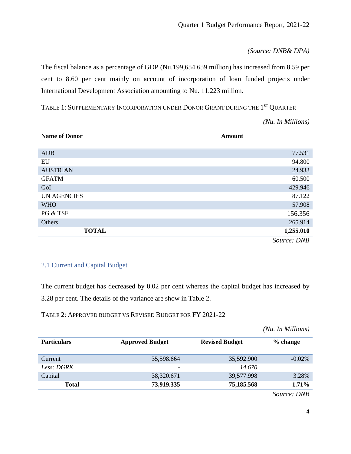*(Source: DNB& DPA)*

The fiscal balance as a percentage of GDP (Nu.199,654.659 million) has increased from 8.59 per cent to 8.60 per cent mainly on account of incorporation of loan funded projects under International Development Association amounting to Nu. 11.223 million.

TABLE 1: SUPPLEMENTARY INCORPORATION UNDER DONOR GRANT DURING THE  $1^{\mathrm{ST}}$  Quarter

*(Nu. In Millions)*

| <b>Name of Donor</b> | <b>Amount</b> |
|----------------------|---------------|
| <b>ADB</b>           | 77.531        |
| EU                   | 94.800        |
| <b>AUSTRIAN</b>      | 24.933        |
| <b>GFATM</b>         | 60.500        |
| GoI                  | 429.946       |
| <b>UN AGENCIES</b>   | 87.122        |
| <b>WHO</b>           | 57.908        |
| PG & TSF             | 156.356       |
| Others               | 265.914       |
| <b>TOTAL</b>         | 1,255.010     |
|                      | Source: DNB   |

#### <span id="page-3-0"></span>2.1 Current and Capital Budget

The current budget has decreased by 0.02 per cent whereas the capital budget has increased by 3.28 per cent. The details of the variance are show in Table 2.

TABLE 2: APPROVED BUDGET VS REVISED BUDGET FOR FY 2021-22

*(Nu. In Millions)*

| <b>Particulars</b> | <b>Approved Budget</b> | <b>Revised Budget</b> | % change  |
|--------------------|------------------------|-----------------------|-----------|
| Current            | 35,598.664             | 35,592.900            | $-0.02\%$ |
| Less: DGRK         | -                      | 14.670                |           |
| Capital            | 38,320.671             | 39,577.998            | 3.28%     |
| <b>Total</b>       | 73,919.335             | 75,185.568            | $1.71\%$  |

 *Source: DNB*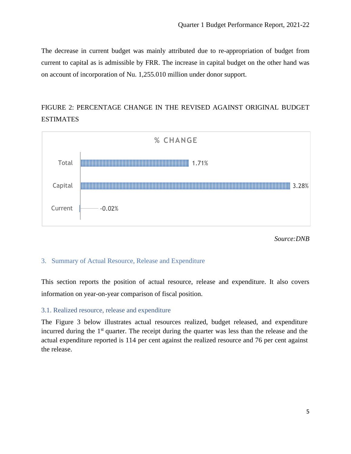The decrease in current budget was mainly attributed due to re-appropriation of budget from current to capital as is admissible by FRR. The increase in capital budget on the other hand was on account of incorporation of Nu. 1,255.010 million under donor support.

## FIGURE 2: PERCENTAGE CHANGE IN THE REVISED AGAINST ORIGINAL BUDGET ESTIMATES



*Source:DNB*

#### <span id="page-4-0"></span>3. Summary of Actual Resource, Release and Expenditure

This section reports the position of actual resource, release and expenditure. It also covers information on year-on-year comparison of fiscal position.

#### <span id="page-4-1"></span>3.1. Realized resource, release and expenditure

The Figure 3 below illustrates actual resources realized, budget released, and expenditure incurred during the 1<sup>st</sup> quarter. The receipt during the quarter was less than the release and the actual expenditure reported is 114 per cent against the realized resource and 76 per cent against the release.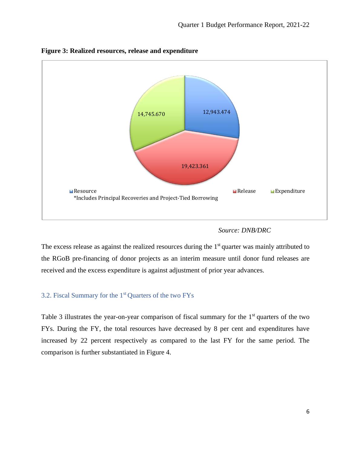

**Figure 3: Realized resources, release and expenditure** 

#### *Source: DNB/DRC*

The excess release as against the realized resources during the 1<sup>st</sup> quarter was mainly attributed to the RGoB pre-financing of donor projects as an interim measure until donor fund releases are received and the excess expenditure is against adjustment of prior year advances.

#### <span id="page-5-0"></span>3.2. Fiscal Summary for the 1st Quarters of the two FYs

Table 3 illustrates the year-on-year comparison of fiscal summary for the 1<sup>st</sup> quarters of the two FYs. During the FY, the total resources have decreased by 8 per cent and expenditures have increased by 22 percent respectively as compared to the last FY for the same period. The comparison is further substantiated in Figure 4.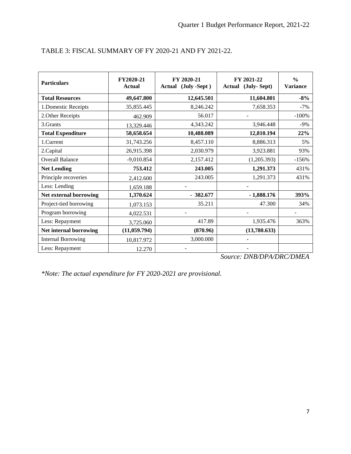| <b>Particulars</b>        | FY2020-21<br><b>Actual</b> | FY 2020-21<br>Actual (July -Sept) | FY 2021-22<br>Actual (July-Sept) | $\frac{0}{0}$<br><b>Variance</b> |
|---------------------------|----------------------------|-----------------------------------|----------------------------------|----------------------------------|
| <b>Total Resources</b>    | 49,647.800                 | 12,645.501                        | 11,604.801                       | $-8%$                            |
| 1.Domestic Receipts       | 35,855.445                 | 8,246.242                         | 7,658.353                        | $-7%$                            |
| 2. Other Receipts         | 462.909                    | 56.017                            |                                  | $-100%$                          |
| 3.Grants                  | 13,329.446                 | 4,343.242                         | 3,946.448                        | $-9%$                            |
| <b>Total Expenditure</b>  | 58,658.654                 | 10,488.089                        | 12,810.194                       | 22%                              |
| 1.Current                 | 31,743.256                 | 8,457.110                         | 8,886.313                        | 5%                               |
| 2.Capital                 | 26,915.398                 | 2,030.979                         | 3,923.881                        | 93%                              |
| <b>Overall Balance</b>    | $-9,010.854$               | 2,157.412                         | (1,205.393)                      | $-156%$                          |
| <b>Net Lending</b>        | 753.412                    | 243.005                           | 1,291.373                        | 431%                             |
| Principle recoveries      | 2,412.600                  | 243.005                           | 1,291.373                        | 431%                             |
| Less: Lending             | 1,659.188                  |                                   |                                  |                                  |
| Net external borrowing    | 1,370.624                  | $-382.677$                        | $-1,888.176$                     | 393%                             |
| Project-tied borrowing    | 1,073.153                  | 35.211                            | 47.300                           | 34%                              |
| Program borrowing         | 4,022.531                  |                                   | $\overline{a}$                   |                                  |
| Less: Repayment           | 3,725.060                  | 417.89                            | 1,935.476                        | 363%                             |
| Net internal borrowing    | (11, 059.794)              | (870.96)                          | (13,780.633)                     |                                  |
| <b>Internal Borrowing</b> | 10,817.972                 | 3,000.000                         |                                  |                                  |
| Less: Repayment           | 12.270                     |                                   |                                  |                                  |

#### TABLE 3: FISCAL SUMMARY OF FY 2020-21 AND FY 2021-22.

*Source: DNB/DPA/DRC/DMEA*

*\*Note: The actual expenditure for FY 2020-2021 are provisional.*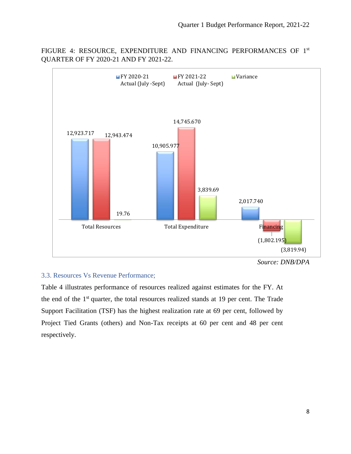

FIGURE 4: RESOURCE, EXPENDITURE AND FINANCING PERFORMANCES OF 1<sup>st</sup> QUARTER OF FY 2020-21 AND FY 2021-22.

#### <span id="page-7-0"></span>3.3. Resources Vs Revenue Performance;

Table 4 illustrates performance of resources realized against estimates for the FY. At the end of the 1<sup>st</sup> quarter, the total resources realized stands at 19 per cent. The Trade Support Facilitation (TSF) has the highest realization rate at 69 per cent, followed by Project Tied Grants (others) and Non-Tax receipts at 60 per cent and 48 per cent respectively.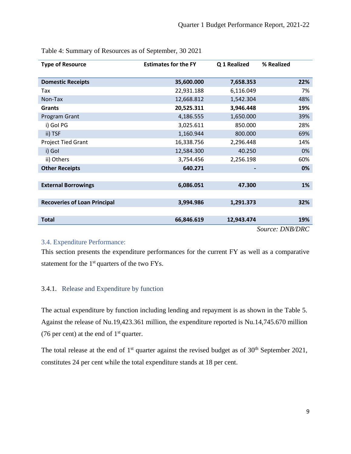| <b>Type of Resource</b>             | <b>Estimates for the FY</b> | Q 1 Realized | % Realized      |
|-------------------------------------|-----------------------------|--------------|-----------------|
| <b>Domestic Receipts</b>            | 35,600.000                  | 7,658.353    | 22%             |
| Tax                                 | 22,931.188                  | 6,116.049    | 7%              |
| Non-Tax                             | 12,668.812                  | 1,542.304    | 48%             |
| <b>Grants</b>                       | 20,525.311                  | 3,946.448    | 19%             |
| Program Grant                       | 4,186.555                   | 1,650.000    | 39%             |
| i) Gol PG                           | 3,025.611                   | 850.000      | 28%             |
| ii) TSF                             | 1,160.944                   | 800.000      | 69%             |
| <b>Project Tied Grant</b>           | 16,338.756                  | 2,296.448    | 14%             |
| i) Gol                              | 12,584.300                  | 40.250       | 0%              |
| ii) Others                          | 3,754.456                   | 2,256.198    | 60%             |
| <b>Other Receipts</b>               | 640.271                     |              | 0%              |
|                                     |                             |              |                 |
| <b>External Borrowings</b>          | 6,086.051                   | 47.300       | 1%              |
|                                     |                             |              |                 |
| <b>Recoveries of Loan Principal</b> | 3,994.986                   | 1,291.373    | 32%             |
|                                     |                             |              |                 |
| <b>Total</b>                        | 66,846.619                  | 12,943.474   | 19%             |
|                                     |                             |              | Source: DNB/DRC |

Table 4: Summary of Resources as of September, 30 2021

#### <span id="page-8-0"></span>3.4. Expenditure Performance:

This section presents the expenditure performances for the current FY as well as a comparative statement for the  $1<sup>st</sup>$  quarters of the two FYs.

#### <span id="page-8-1"></span>3.4.1. Release and Expenditure by function

The actual expenditure by function including lending and repayment is as shown in the Table 5. Against the release of Nu.19,423.361 million, the expenditure reported is Nu.14,745.670 million (76 per cent) at the end of  $1<sup>st</sup>$  quarter.

The total release at the end of  $1<sup>st</sup>$  quarter against the revised budget as of  $30<sup>th</sup>$  September 2021, constitutes 24 per cent while the total expenditure stands at 18 per cent.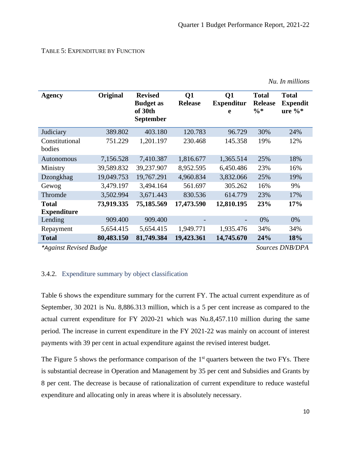#### TABLE 5: EXPENDITURE BY FUNCTION

| <b>Agency</b>                      | Original   | <b>Revised</b><br><b>Budget as</b><br>of 30th<br>September | $\overline{O1}$<br><b>Release</b> | Q1<br><b>Expenditur</b><br>e | <b>Total</b><br><b>Release</b><br>$\frac{0}{6}$ * | <b>Total</b><br><b>Expendit</b><br>ure $\%$ |
|------------------------------------|------------|------------------------------------------------------------|-----------------------------------|------------------------------|---------------------------------------------------|---------------------------------------------|
| Judiciary                          | 389.802    | 403.180                                                    | 120.783                           | 96.729                       | 30%                                               | 24%                                         |
| Constitutional<br>bodies           | 751.229    | 1,201.197                                                  | 230.468                           | 145.358                      | 19%                                               | 12%                                         |
| Autonomous                         | 7,156.528  | 7,410.387                                                  | 1,816.677                         | 1,365.514                    | 25%                                               | 18%                                         |
| Ministry                           | 39,589.832 | 39,237.907                                                 | 8,952.595                         | 6,450.486                    | 23%                                               | 16%                                         |
| Dzongkhag                          | 19,049.753 | 19,767.291                                                 | 4,960.834                         | 3,832.066                    | 25%                                               | 19%                                         |
| Gewog                              | 3,479.197  | 3,494.164                                                  | 561.697                           | 305.262                      | 16%                                               | 9%                                          |
| Thromde                            | 3,502.994  | 3,671.443                                                  | 830.536                           | 614.779                      | 23%                                               | 17%                                         |
| <b>Total</b><br><b>Expenditure</b> | 73,919.335 | 75,185.569                                                 | 17,473.590                        | 12,810.195                   | 23%                                               | 17%                                         |
| Lending                            | 909.400    | 909.400                                                    |                                   |                              | 0%                                                | 0%                                          |
| Repayment                          | 5,654.415  | 5,654.415                                                  | 1,949.771                         | 1,935.476                    | 34%                                               | 34%                                         |
| <b>Total</b>                       | 80,483.150 | 81,749.384                                                 | 19,423.361                        | 14,745.670                   | 24%                                               | 18%                                         |
| *Against Revised Budge             |            |                                                            |                                   |                              |                                                   | Sources DNB/DPA                             |

*Nu. In millions*

#### <span id="page-9-0"></span>3.4.2. Expenditure summary by object classification

Table 6 shows the expenditure summary for the current FY. The actual current expenditure as of September, 30 2021 is Nu. 8,886.313 million, which is a 5 per cent increase as compared to the actual current expenditure for FY 2020-21 which was Nu.8,457.110 million during the same period. The increase in current expenditure in the FY 2021-22 was mainly on account of interest payments with 39 per cent in actual expenditure against the revised interest budget.

The Figure 5 shows the performance comparison of the  $1<sup>st</sup>$  quarters between the two FYs. There is substantial decrease in Operation and Management by 35 per cent and Subsidies and Grants by 8 per cent. The decrease is because of rationalization of current expenditure to reduce wasteful expenditure and allocating only in areas where it is absolutely necessary.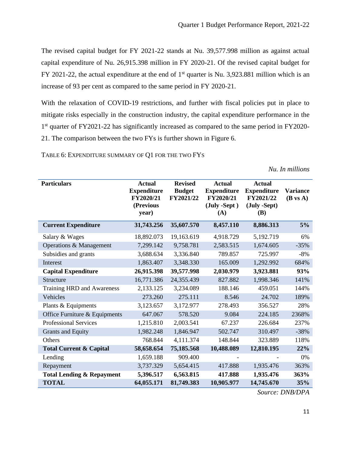The revised capital budget for FY 2021-22 stands at Nu. 39,577.998 million as against actual capital expenditure of Nu. 26,915.398 million in FY 2020-21. Of the revised capital budget for FY 2021-22, the actual expenditure at the end of  $1<sup>st</sup>$  quarter is Nu. 3,923.881 million which is an increase of 93 per cent as compared to the same period in FY 2020-21.

With the relaxation of COVID-19 restrictions, and further with fiscal policies put in place to mitigate risks especially in the construction industry, the capital expenditure performance in the 1<sup>st</sup> quarter of FY2021-22 has significantly increased as compared to the same period in FY2020-21. The comparison between the two FYs is further shown in Figure 6.

TABLE 6: EXPENDITURE SUMMARY OF Q1 FOR THE TWO FYS

*Nu. In millions*

| <b>Particulars</b>                   | <b>Actual</b><br><b>Expenditure</b><br>FY2020/21<br>(Previous | <b>Revised</b><br><b>Budget</b><br>FY2021/22 | <b>Actual</b><br><b>Expenditure</b><br>FY2020/21<br>(July -Sept) | <b>Actual</b><br><b>Expenditure</b><br>FY2021/22<br>(July -Sept) | <b>Variance</b><br>$(B \text{ vs } A)$ |
|--------------------------------------|---------------------------------------------------------------|----------------------------------------------|------------------------------------------------------------------|------------------------------------------------------------------|----------------------------------------|
|                                      | year)                                                         |                                              | (A)                                                              | <b>(B)</b>                                                       |                                        |
| <b>Current Expenditure</b>           | 31,743.256                                                    | 35,607.570                                   | 8,457.110                                                        | 8,886.313                                                        | 5%                                     |
| Salary & Wages                       | 18,892.073                                                    | 19,163.619                                   | 4,918.729                                                        | 5,192.719                                                        | 6%                                     |
| Operations & Management              | 7,299.142                                                     | 9,758.781                                    | 2,583.515                                                        | 1,674.605                                                        | $-35%$                                 |
| Subsidies and grants                 | 3,688.634                                                     | 3,336.840                                    | 789.857                                                          | 725.997                                                          | $-8%$                                  |
| Interest                             | 1,863.407                                                     | 3,348.330                                    | 165.009                                                          | 1,292.992                                                        | 684%                                   |
| <b>Capital Expenditure</b>           | 26,915.398                                                    | 39,577.998                                   | 2,030.979                                                        | 3,923.881                                                        | 93%                                    |
| Structure                            | 16,771.386                                                    | 24,355.439                                   | 827.882                                                          | 1,998.346                                                        | 141%                                   |
| Training HRD and Awareness           | 2,133.125                                                     | 3,234.089                                    | 188.146                                                          | 459.051                                                          | 144%                                   |
| Vehicles                             | 273.260                                                       | 275.111                                      | 8.546                                                            | 24.702                                                           | 189%                                   |
| Plants & Equipments                  | 3,123.657                                                     | 3,172.977                                    | 278.493                                                          | 356.527                                                          | 28%                                    |
| Office Furniture & Equipments        | 647.067                                                       | 578.520                                      | 9.084                                                            | 224.185                                                          | 2368%                                  |
| <b>Professional Services</b>         | 1,215.810                                                     | 2,003.541                                    | 67.237                                                           | 226.684                                                          | 237%                                   |
| Grants and Equity                    | 1,982.248                                                     | 1,846.947                                    | 502.747                                                          | 310.497                                                          | $-38%$                                 |
| Others                               | 768.844                                                       | 4,111.374                                    | 148.844                                                          | 323.889                                                          | 118%                                   |
| <b>Total Current &amp; Capital</b>   | 58,658.654                                                    | 75,185.568                                   | 10,488.089                                                       | 12,810.195                                                       | 22%                                    |
| Lending                              | 1,659.188                                                     | 909.400                                      |                                                                  |                                                                  | $0\%$                                  |
| Repayment                            | 3,737.329                                                     | 5,654.415                                    | 417.888                                                          | 1,935.476                                                        | 363%                                   |
| <b>Total Lending &amp; Repayment</b> | 5,396.517                                                     | 6,563.815                                    | 417.888                                                          | 1,935.476                                                        | 363%                                   |
| <b>TOTAL</b>                         | 64,055.171                                                    | 81,749.383                                   | 10,905.977                                                       | 14,745.670                                                       | 35%                                    |

*Source: DNB/DPA*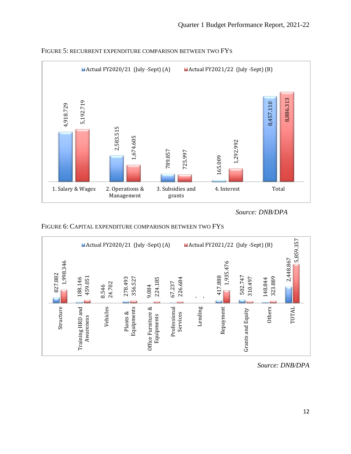

FIGURE 5: RECURRENT EXPENDITURE COMPARISON BETWEEN TWO FYS

 *Source: DNB/DPA*





*Source: DNB/DPA*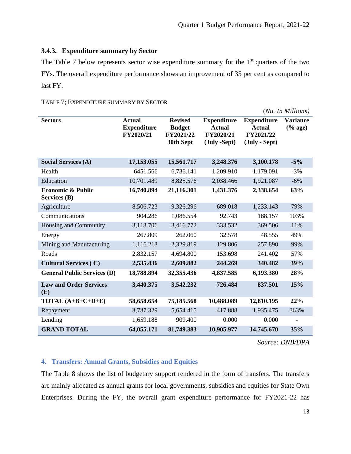#### <span id="page-12-0"></span>**3.4.3. Expenditure summary by Sector**

The Table 7 below represents sector wise expenditure summary for the  $1<sup>st</sup>$  quarters of the two FYs. The overall expenditure performance shows an improvement of 35 per cent as compared to last FY.

|                                                     |                                                  |                                                           |                                                                  |                                                                   | (Nu. In Millions)             |
|-----------------------------------------------------|--------------------------------------------------|-----------------------------------------------------------|------------------------------------------------------------------|-------------------------------------------------------------------|-------------------------------|
| <b>Sectors</b>                                      | <b>Actual</b><br><b>Expenditure</b><br>FY2020/21 | <b>Revised</b><br><b>Budget</b><br>FY2021/22<br>30th Sept | <b>Expenditure</b><br><b>Actual</b><br>FY2020/21<br>(July -Sept) | <b>Expenditure</b><br><b>Actual</b><br>FY2021/22<br>(July - Sept) | <b>Variance</b><br>$(\%$ age) |
| <b>Social Services (A)</b>                          | 17,153.055                                       | 15,561.717                                                | 3,248.376                                                        | 3,100.178                                                         | $-5%$                         |
| Health                                              | 6451.566                                         | 6,736.141                                                 | 1,209.910                                                        | 1,179.091                                                         | $-3%$                         |
| Education                                           | 10,701.489                                       | 8,825.576                                                 | 2,038.466                                                        | 1,921.087                                                         | $-6%$                         |
| <b>Economic &amp; Public</b><br><b>Services</b> (B) | 16,740.894                                       | 21,116.301                                                | 1,431.376                                                        | 2,338.654                                                         | 63%                           |
| Agriculture                                         | 8,506.723                                        | 9,326.296                                                 | 689.018                                                          | 1,233.143                                                         | 79%                           |
| Communications                                      | 904.286                                          | 1,086.554                                                 | 92.743                                                           | 188.157                                                           | 103%                          |
| <b>Housing and Community</b>                        | 3,113.706                                        | 3,416.772                                                 | 333.532                                                          | 369.506                                                           | 11%                           |
| Energy                                              | 267.809                                          | 262.060                                                   | 32.578                                                           | 48.555                                                            | 49%                           |
| Mining and Manufacturing                            | 1,116.213                                        | 2,329.819                                                 | 129.806                                                          | 257.890                                                           | 99%                           |
| Roads                                               | 2,832.157                                        | 4,694.800                                                 | 153.698                                                          | 241.402                                                           | 57%                           |
| <b>Cultural Services (C)</b>                        | 2,535.436                                        | 2,609.882                                                 | 244.269                                                          | 340.482                                                           | 39%                           |
| <b>General Public Services (D)</b>                  | 18,788.894                                       | 32,355.436                                                | 4,837.585                                                        | 6,193.380                                                         | 28%                           |
| <b>Law and Order Services</b><br>(E)                | 3,440.375                                        | 3,542.232                                                 | 726.484                                                          | 837.501                                                           | 15%                           |
| TOTAL $(A+B+C+D+E)$                                 | 58,658.654                                       | 75,185.568                                                | 10,488.089                                                       | 12,810.195                                                        | 22%                           |
| Repayment                                           | 3,737.329                                        | 5,654.415                                                 | 417.888                                                          | 1,935.475                                                         | 363%                          |
| Lending                                             | 1,659.188                                        | 909.400                                                   | 0.000                                                            | 0.000                                                             |                               |
| <b>GRAND TOTAL</b>                                  | 64,055.171                                       | 81,749.383                                                | 10,905.977                                                       | 14,745.670                                                        | 35%                           |

#### TABLE 7; EXPENDITURE SUMMARY BY SECTOR

*Source: DNB/DPA* 

#### <span id="page-12-1"></span>**4. Transfers: Annual Grants, Subsidies and Equities**

The Table 8 shows the list of budgetary support rendered in the form of transfers. The transfers are mainly allocated as annual grants for local governments, subsidies and equities for State Own Enterprises. During the FY, the overall grant expenditure performance for FY2021-22 has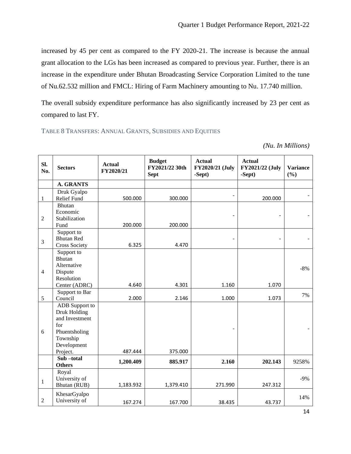increased by 45 per cent as compared to the FY 2020-21. The increase is because the annual grant allocation to the LGs has been increased as compared to previous year. Further, there is an increase in the expenditure under Bhutan Broadcasting Service Corporation Limited to the tune of Nu.62.532 million and FMCL: Hiring of Farm Machinery amounting to Nu. 17.740 million.

The overall subsidy expenditure performance has also significantly increased by 23 per cent as compared to last FY.

TABLE 8 TRANSFERS: ANNUAL GRANTS, SUBSIDIES AND EQUITIES

*(Nu. In Millions)*

| SI.<br>No.     | <b>Sectors</b>                  | <b>Actual</b><br>FY2020/21 | <b>Budget</b><br>FY2021/22 30th<br><b>Sept</b> | <b>Actual</b><br>FY2020/21 (July<br>-Sept) | <b>Actual</b><br>FY2021/22 (July<br>-Sept) | <b>Variance</b><br>(%) |
|----------------|---------------------------------|----------------------------|------------------------------------------------|--------------------------------------------|--------------------------------------------|------------------------|
|                | <b>A. GRANTS</b>                |                            |                                                |                                            |                                            |                        |
|                | Druk Gyalpo                     |                            |                                                |                                            |                                            |                        |
| $\mathbf{1}$   | Relief Fund                     | 500.000                    | 300.000                                        |                                            | 200.000                                    |                        |
|                | Bhutan                          |                            |                                                |                                            |                                            |                        |
|                | Economic                        |                            |                                                |                                            |                                            |                        |
| $\overline{2}$ | Stabilization                   |                            |                                                |                                            |                                            |                        |
|                | Fund                            | 200.000                    | 200.000                                        |                                            |                                            |                        |
|                | Support to                      |                            |                                                |                                            |                                            |                        |
| $\overline{3}$ | <b>Bhutan Red</b>               |                            |                                                |                                            |                                            |                        |
|                | <b>Cross Society</b>            | 6.325                      | 4.470                                          |                                            |                                            |                        |
|                | Support to                      |                            |                                                |                                            |                                            |                        |
|                | Bhutan                          |                            |                                                |                                            |                                            |                        |
|                | Alternative                     |                            |                                                |                                            |                                            | $-8%$                  |
| $\overline{4}$ | Dispute                         |                            |                                                |                                            |                                            |                        |
|                | Resolution                      | 4.640                      | 4.301                                          | 1.160                                      | 1.070                                      |                        |
|                | Center (ADRC)<br>Support to Bar |                            |                                                |                                            |                                            |                        |
| $\sqrt{5}$     | Council                         | 2.000                      | 2.146                                          | 1.000                                      | 1.073                                      | 7%                     |
|                | ADB Support to                  |                            |                                                |                                            |                                            |                        |
|                | Druk Holding                    |                            |                                                |                                            |                                            |                        |
|                | and Investment                  |                            |                                                |                                            |                                            |                        |
|                | for                             |                            |                                                |                                            |                                            |                        |
| 6              | Phuentsholing                   |                            |                                                |                                            |                                            |                        |
|                | Township                        |                            |                                                |                                            |                                            |                        |
|                | Development                     |                            |                                                |                                            |                                            |                        |
|                | Project.                        | 487.444                    | 375.000                                        |                                            |                                            |                        |
|                | Sub-total                       |                            |                                                |                                            |                                            |                        |
|                | <b>Others</b>                   | 1,200.409                  | 885.917                                        | 2.160                                      | 202.143                                    | 9258%                  |
|                | Royal                           |                            |                                                |                                            |                                            |                        |
| $\mathbf{1}$   | University of                   |                            |                                                |                                            |                                            | $-9\%$                 |
|                | Bhutan (RUB)                    | 1,183.932                  | 1,379.410                                      | 271.990                                    | 247.312                                    |                        |
|                | KhesarGyalpo                    |                            |                                                |                                            |                                            |                        |
| $\overline{2}$ | University of                   | 167.274                    | 167.700                                        | 38.435                                     | 43.737                                     | 14%                    |
|                |                                 |                            |                                                |                                            |                                            |                        |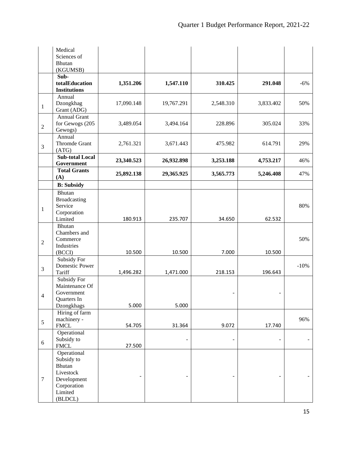|                  | Medical<br>Sciences of                            |            |            |           |           |        |
|------------------|---------------------------------------------------|------------|------------|-----------|-----------|--------|
|                  | <b>Bhutan</b><br>(KGUMSB)                         |            |            |           |           |        |
|                  | Sub-<br>totalEducation<br><b>Institutions</b>     | 1,351.206  | 1,547.110  | 310.425   | 291.048   | $-6%$  |
| $\mathbf{1}$     | Annual<br>Dzongkhag<br>Grant (ADG)                | 17,090.148 | 19,767.291 | 2,548.310 | 3,833.402 | 50%    |
| $\sqrt{2}$       | <b>Annual Grant</b><br>for Gewogs (205<br>Gewogs) | 3,489.054  | 3,494.164  | 228.896   | 305.024   | 33%    |
| 3                | Annual<br>Thromde Grant<br>(ATG)                  | 2,761.321  | 3,671.443  | 475.982   | 614.791   | 29%    |
|                  | <b>Sub-total Local</b><br>Government              | 23,340.523 | 26,932.898 | 3,253.188 | 4,753.217 | 46%    |
|                  | <b>Total Grants</b><br>(A)                        | 25,892.138 | 29,365.925 | 3,565.773 | 5,246.408 | 47%    |
|                  | <b>B:</b> Subsidy                                 |            |            |           |           |        |
|                  | Bhutan                                            |            |            |           |           |        |
|                  | <b>Broadcasting</b>                               |            |            |           |           |        |
| $\mathbf{1}$     | Service<br>Corporation                            |            |            |           |           | 80%    |
|                  | Limited                                           | 180.913    | 235.707    | 34.650    | 62.532    |        |
|                  | Bhutan                                            |            |            |           |           |        |
|                  | Chambers and                                      |            |            |           |           |        |
| $\overline{2}$   | Commerce                                          |            |            |           |           | 50%    |
|                  | Industries                                        |            | 10.500     | 7.000     |           |        |
|                  | (BCCI)<br>Subsidy For                             | 10.500     |            |           | 10.500    |        |
|                  | Domestic Power                                    |            |            |           |           | $-10%$ |
| 3                | Tariff                                            | 1,496.282  | 1,471.000  | 218.153   | 196.643   |        |
|                  | Subsidy For                                       |            |            |           |           |        |
|                  | Maintenance Of                                    |            |            |           |           |        |
| $\overline{4}$   | Government<br>Quarters In                         |            |            |           |           |        |
|                  | Dzongkhags                                        | 5.000      | 5.000      |           |           |        |
|                  | Hiring of farm                                    |            |            |           |           |        |
| 5                | machinery -                                       |            |            |           |           | 96%    |
|                  | <b>FMCL</b>                                       | 54.705     | 31.364     | 9.072     | 17.740    |        |
|                  | Operational<br>Subsidy to                         |            |            |           |           |        |
| $\sqrt{6}$       | <b>FMCL</b>                                       | 27.500     |            |           |           |        |
|                  | Operational                                       |            |            |           |           |        |
|                  | Subsidy to                                        |            |            |           |           |        |
|                  | Bhutan                                            |            |            |           |           |        |
| $\boldsymbol{7}$ | Livestock                                         |            |            |           |           |        |
|                  | Development<br>Corporation                        |            |            |           |           |        |
|                  | Limited                                           |            |            |           |           |        |
|                  | (BLDCL)                                           |            |            |           |           |        |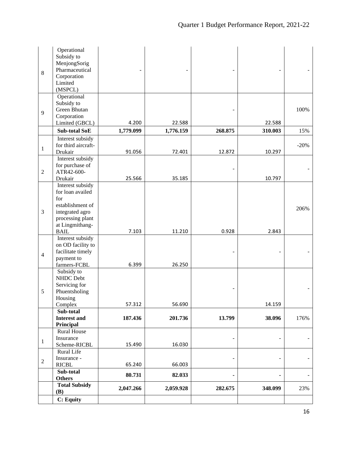|                  | Operational                    |           |           |         |         |        |
|------------------|--------------------------------|-----------|-----------|---------|---------|--------|
|                  | Subsidy to                     |           |           |         |         |        |
|                  | MenjongSorig                   |           |           |         |         |        |
| $\,8\,$          | Pharmaceutical                 |           |           |         |         |        |
|                  | Corporation                    |           |           |         |         |        |
|                  | Limited                        |           |           |         |         |        |
|                  | (MSPCL)<br>Operational         |           |           |         |         |        |
|                  | Subsidy to                     |           |           |         |         |        |
|                  | Green Bhutan                   |           |           |         |         | 100%   |
| 9                | Corporation                    |           |           |         |         |        |
|                  | Limited (GBCL)                 | 4.200     | 22.588    |         | 22.588  |        |
|                  | <b>Sub-total SoE</b>           | 1,779.099 | 1,776.159 | 268.875 | 310.003 | 15%    |
|                  |                                |           |           |         |         |        |
|                  | Interest subsidy               |           |           |         |         |        |
| $\mathbf{1}$     | for third aircraft-<br>Drukair | 91.056    | 72.401    | 12.872  | 10.297  | $-20%$ |
|                  | Interest subsidy               |           |           |         |         |        |
|                  | for purchase of                |           |           |         |         |        |
| $\boldsymbol{2}$ | ATR42-600-                     |           |           |         |         |        |
|                  | Drukair                        | 25.566    | 35.185    |         | 10.797  |        |
|                  | Interest subsidy               |           |           |         |         |        |
|                  | for loan availed               |           |           |         |         |        |
|                  | for                            |           |           |         |         |        |
|                  | establishment of               |           |           |         |         |        |
| 3                | integrated agro                |           |           |         |         | 206%   |
|                  | processing plant               |           |           |         |         |        |
|                  | at Lingmithang-                |           |           |         |         |        |
|                  | <b>BAIL</b>                    | 7.103     | 11.210    | 0.928   | 2.843   |        |
|                  | Interest subsidy               |           |           |         |         |        |
|                  | on OD facility to              |           |           |         |         |        |
| $\overline{4}$   | facilitate timely              |           |           |         |         |        |
|                  | payment to                     |           |           |         |         |        |
|                  | farmers-FCBL                   | 6.399     | 26.250    |         |         |        |
|                  | Subsidy to                     |           |           |         |         |        |
|                  | NHDC Debt                      |           |           |         |         |        |
| 5                | Servicing for<br>Phuentsholing |           |           |         |         |        |
|                  | Housing                        |           |           |         |         |        |
|                  | Complex                        | 57.312    | 56.690    |         | 14.159  |        |
|                  | Sub-total                      |           |           |         |         |        |
|                  | <b>Interest and</b>            | 187.436   | 201.736   | 13.799  | 38.096  | 176%   |
|                  | Principal                      |           |           |         |         |        |
|                  | <b>Rural House</b>             |           |           |         |         |        |
| $\mathbf{1}$     | Insurance                      |           |           |         |         |        |
|                  | Scheme-RICBL                   | 15.490    | 16.030    |         |         |        |
|                  | Rural Life                     |           |           |         |         |        |
| $\sqrt{2}$       | Insurance -                    |           |           |         |         |        |
|                  | <b>RICBL</b>                   | 65.240    | 66.003    |         |         |        |
|                  | Sub-total                      | 80.731    | 82.033    | ۰       | ٠       |        |
|                  | <b>Others</b>                  |           |           |         |         |        |
|                  | <b>Total Subsidy</b><br>(B)    | 2,047.266 | 2,059.928 | 282.675 | 348.099 | 23%    |
|                  | C: Equity                      |           |           |         |         |        |
|                  |                                |           |           |         |         |        |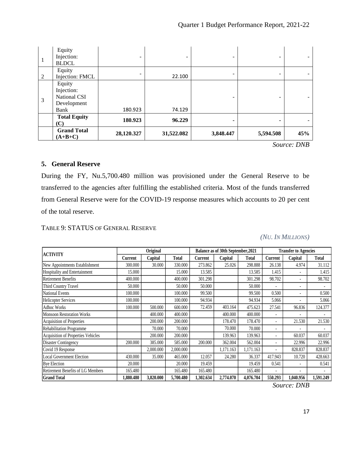| 1              | Equity<br>Injection:<br><b>BLDCL</b>                        | -          |            |           |           |     |
|----------------|-------------------------------------------------------------|------------|------------|-----------|-----------|-----|
| 2              | Equity<br>Injection: FMCL                                   |            | 22.100     |           |           |     |
| $\overline{3}$ | Equity<br>Injection:<br>National CSI<br>Development<br>Bank | 180.923    | 74.129     |           |           |     |
|                | <b>Total Equity</b><br>(C)                                  | 180.923    | 96.229     |           |           |     |
|                | <b>Grand Total</b><br>$(A+B+C)$                             | 28,120.327 | 31,522.082 | 3,848.447 | 5,594.508 | 45% |

*Source: DNB*

#### <span id="page-16-0"></span>**5. General Reserve**

During the FY, Nu.5,700.480 million was provisioned under the General Reserve to be transferred to the agencies after fulfilling the established criteria. Most of the funds transferred from General Reserve were for the COVID-19 response measures which accounts to 20 per cent of the total reserve.

#### TABLE 9: STATUS OF GENERAL RESERVE

|  |  |  |  | (NU. IN MILLIONS) |
|--|--|--|--|-------------------|
|--|--|--|--|-------------------|

| <b>ACTIVITY</b>                           | Original  |           |              | Balance as of 30th September, 2021 |           |              | <b>Transfer to Agencies</b> |           |              |
|-------------------------------------------|-----------|-----------|--------------|------------------------------------|-----------|--------------|-----------------------------|-----------|--------------|
|                                           | Current   | Capital   | <b>Total</b> | Current                            | Capital   | <b>Total</b> | <b>Current</b>              | Capital   | <b>Total</b> |
| New Appointments Establishment            | 300.000   | 30.000    | 330.000      | 273.862                            | 25.026    | 298.888      | 26.138                      | 4.974     | 31.112       |
| Hospitality and Entertainment             | 15.000    |           | 15.000       | 13.585                             |           | 13.585       | 1.415                       |           | 1.415        |
| <b>Retirement Benefits</b>                | 400.000   |           | 400.000      | 301.298                            |           | 301.298      | 98.702                      |           | 98.702       |
| Third Country Travel                      | 50.000    |           | 50.000       | 50.000                             |           | 50.000       | $\overline{\phantom{a}}$    |           |              |
| <b>National Events</b>                    | 100.000   |           | 100.000      | 99.500                             |           | 99.500       | 0.500                       |           | 0.500        |
| <b>Helicopter Services</b>                | 100.000   |           | 100.000      | 94.934                             |           | 94.934       | 5.066                       |           | 5.066        |
| <b>Adhoc Works</b>                        | 100.000   | 500.000   | 600.000      | 72.459                             | 403.164   | 475.623      | 27.541                      | 96.836    | 124.377      |
| <b>Monsoon Restoration Works</b>          |           | 400.000   | 400.000      |                                    | 400.000   | 400.000      |                             |           |              |
| Acquisition of Properties                 |           | 200.000   | 200.000      |                                    | 178.470   | 178.470      | $\overline{a}$              | 21.530    | 21.530       |
| Rehabilitation Programme                  |           | 70.000    | 70.000       |                                    | 70.000    | 70.000       | $\overline{a}$              |           |              |
| <b>Acquisition of Properties Vehicles</b> |           | 200,000   | 200.000      |                                    | 139.963   | 139.963      | $\overline{a}$              | 60.037    | 60.037       |
| Disaster Contingency                      | 200.000   | 385.000   | 585.000      | 200.000                            | 362.004   | 562.004      | -                           | 22.996    | 22.996       |
| Covid 19 Response                         |           | 2,000.000 | 2,000.000    |                                    | 1,171.163 | 1,171.163    | -                           | 828.837   | 828.837      |
| <b>Local Government Election</b>          | 430.000   | 35.000    | 465.000      | 12.057                             | 24.280    | 36.337       | 417.943                     | 10.720    | 428.663      |
| <b>Bye Election</b>                       | 20.000    |           | 20.000       | 19.459                             |           | 19.459       | 0.541                       |           | 0.541        |
| <b>Retirement Benefits of LG Members</b>  | 165.480   |           | 165.480      | 165.480                            |           | 165.480      |                             |           |              |
| <b>Grand Total</b>                        | 1,880.480 | 3,820.000 | 5,700.480    | 1,302.634                          | 2,774.070 | 4,076.704    | 550.293                     | 1,040.956 | 1,591.249    |

*Source: DNB*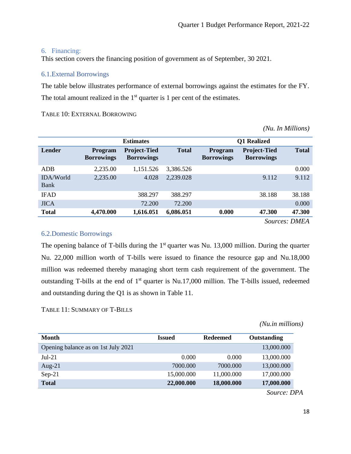#### <span id="page-17-0"></span>6. Financing:

This section covers the financing position of government as of September, 30 2021.

#### <span id="page-17-1"></span>6.1.External Borrowings

The table below illustrates performance of external borrowings against the estimates for the FY. The total amount realized in the  $1<sup>st</sup>$  quarter is 1 per cent of the estimates.

TABLE 10: EXTERNAL BORROWING

*(Nu. In Millions)*

|                          | <b>Estimates</b>                    |                                          |              | <b>Q1</b> Realized                  |                                          |                      |  |
|--------------------------|-------------------------------------|------------------------------------------|--------------|-------------------------------------|------------------------------------------|----------------------|--|
| Lender                   | <b>Program</b><br><b>Borrowings</b> | <b>Project-Tied</b><br><b>Borrowings</b> | <b>Total</b> | <b>Program</b><br><b>Borrowings</b> | <b>Project-Tied</b><br><b>Borrowings</b> | <b>Total</b>         |  |
| ADB                      | 2,235.00                            | 1,151.526                                | 3,386.526    |                                     |                                          | 0.000                |  |
| <b>IDA/World</b><br>Bank | 2,235.00                            | 4.028                                    | 2,239.028    |                                     | 9.112                                    | 9.112                |  |
| <b>IFAD</b>              |                                     | 388.297                                  | 388.297      |                                     | 38.188                                   | 38.188               |  |
| <b>JICA</b>              |                                     | 72.200                                   | 72.200       |                                     |                                          | 0.000                |  |
| <b>Total</b>             | 4,470.000                           | 1,616.051                                | 6,086.051    | 0.000                               | 47.300                                   | 47.300               |  |
|                          |                                     |                                          |              |                                     |                                          | <b>Sources: DMEA</b> |  |

#### <span id="page-17-2"></span>6.2.Domestic Borrowings

The opening balance of T-bills during the  $1<sup>st</sup>$  quarter was Nu. 13,000 million. During the quarter Nu. 22,000 million worth of T-bills were issued to finance the resource gap and Nu.18,000 million was redeemed thereby managing short term cash requirement of the government. The outstanding T-bills at the end of  $1<sup>st</sup>$  quarter is Nu.17,000 million. The T-bills issued, redeemed and outstanding during the Q1 is as shown in Table 11.

TABLE 11: SUMMARY OF T-BILLS

*(Nu.in millions)*

| <b>Month</b>                        | <b>Issued</b> | <b>Redeemed</b> | Outstanding |
|-------------------------------------|---------------|-----------------|-------------|
| Opening balance as on 1st July 2021 |               |                 | 13,000.000  |
| $Jul-21$                            | 0.000         | 0.000           | 13,000.000  |
| Aug- $21$                           | 7000.000      | 7000.000        | 13,000.000  |
| $Sep-21$                            | 15,000.000    | 11,000.000      | 17,000.000  |
| <b>Total</b>                        | 22,000.000    | 18,000.000      | 17,000.000  |

*Source: DPA*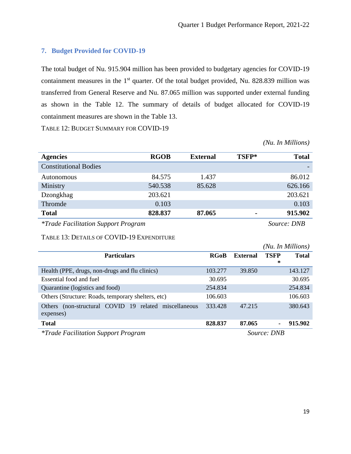#### <span id="page-18-0"></span>**7. Budget Provided for COVID-19**

The total budget of Nu. 915.904 million has been provided to budgetary agencies for COVID-19 containment measures in the 1<sup>st</sup> quarter. Of the total budget provided, Nu. 828.839 million was transferred from General Reserve and Nu. 87.065 million was supported under external funding as shown in the Table 12. The summary of details of budget allocated for COVID-19 containment measures are shown in the Table 13.

TABLE 12: BUDGET SUMMARY FOR COVID-19

*(Nu. In Millions)*

| <b>Agencies</b>                            | <b>RGOB</b> | <b>External</b> | TSFP* | <b>Total</b> |
|--------------------------------------------|-------------|-----------------|-------|--------------|
| <b>Constitutional Bodies</b>               |             |                 |       |              |
| <b>Autonomous</b>                          | 84.575      | 1.437           |       | 86.012       |
| Ministry                                   | 540.538     | 85.628          |       | 626.166      |
| Dzongkhag                                  | 203.621     |                 |       | 203.621      |
| Thromde                                    | 0.103       |                 |       | 0.103        |
| <b>Total</b>                               | 828.837     | 87.065          | -     | 915.902      |
| <i>*Trade Facilitation Support Program</i> |             | Source: DNB     |       |              |

#### TABLE 13: DETAILS OF COVID-19 EXPENDITURE

|                                                                       |             |                 |                  | (Nu. In Millions) |
|-----------------------------------------------------------------------|-------------|-----------------|------------------|-------------------|
| <b>Particulars</b>                                                    | <b>RGoB</b> | <b>External</b> | <b>TSFP</b><br>* | <b>Total</b>      |
| Health (PPE, drugs, non-drugs and flu clinics)                        | 103.277     | 39.850          |                  | 143.127           |
| Essential food and fuel                                               | 30.695      |                 |                  | 30.695            |
| Quarantine (logistics and food)                                       | 254.834     |                 |                  | 254.834           |
| Others (Structure: Roads, temporary shelters, etc)                    | 106.603     |                 |                  | 106.603           |
| (non-structural COVID 19 related miscellaneous<br>Others<br>expenses) | 333.428     | 47.215          |                  | 380.643           |
| <b>Total</b>                                                          | 828.837     | 87.065          | ۰.               | 915.902           |
| <i>*Trade Facilitation Support Program</i>                            |             |                 | Source: DNB      |                   |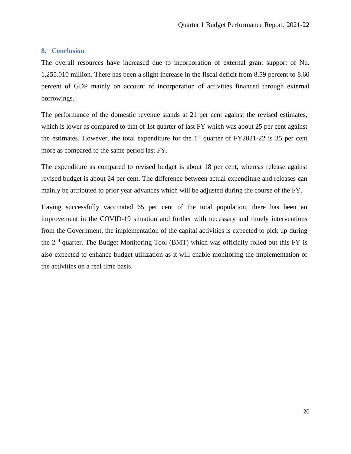#### <span id="page-19-0"></span>**8. Conclusion**

The overall resources have increased due to incorporation of external grant support of Nu. 1,255.010 million. There has been a slight increase in the fiscal deficit from 8.59 percent to 8.60 percent of GDP mainly on account of incorporation of activities financed through external borrowings.

The performance of the domestic revenue stands at 21 per cent against the revised estimates, which is lower as compared to that of 1st quarter of last FY which was about 25 per cent against the estimates. However, the total expenditure for the  $1<sup>st</sup>$  quarter of FY2021-22 is 35 per cent more as compared to the same period last FY.

The expenditure as compared to revised budget is about 18 per cent, whereas release against revised budget is about 24 per cent. The difference between actual expenditure and releases can mainly be attributed to prior year advances which will be adjusted during the course of the FY.

Having successfully vaccinated 65 per cent of the total population, there has been an improvement in the COVID-19 situation and further with necessary and timely interventions from the Government, the implementation of the capital activities is expected to pick up during the  $2<sup>nd</sup>$  quarter. The Budget Monitoring Tool (BMT) which was officially rolled out this FY is also expected to enhance budget utilization as it will enable monitoring the implementation of the activities on a real time basis.